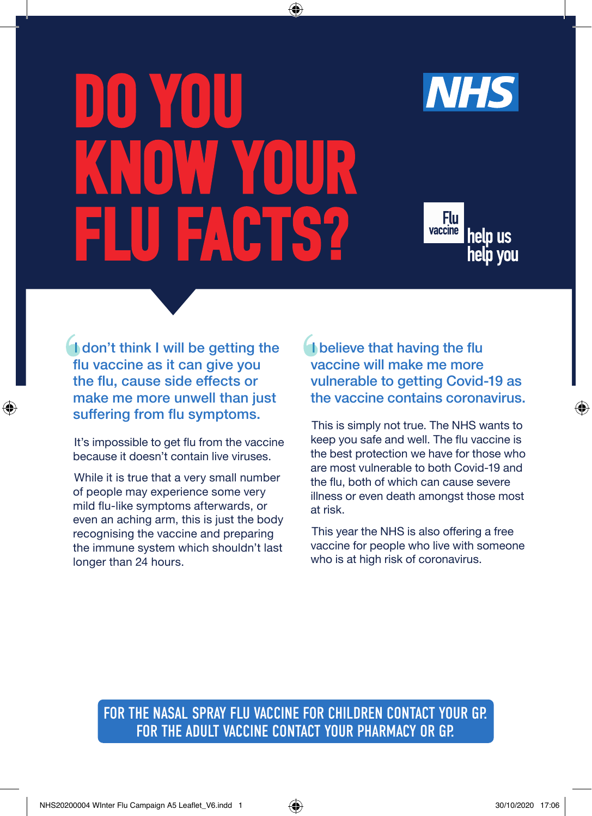# DO YOU OYYAYOUR FLU FACTS?

 $\bigoplus$ 



Flu vaccine help us help you

I don't think I will be getting the flu vaccine as it can give you the flu, cause side effects or make me more unwell than just suffering from flu symptoms.

⊕

It's impossible to get flu from the vaccine because it doesn't contain live viruses.

While it is true that a very small number of people may experience some very mild flu-like symptoms afterwards, or even an aching arm, this is just the body recognising the vaccine and preparing the immune system which shouldn't last longer than 24 hours.

**I** believe that having the flu vaccine will make me more vulnerable to getting Covid-19 as the vaccine contains coronavirus.

This is simply not true. The NHS wants to keep you safe and well. The flu vaccine is the best protection we have for those who are most vulnerable to both Covid-19 and the flu, both of which can cause severe illness or even death amongst those most at risk.

This year the NHS is also offering a free vaccine for people who live with someone who is at high risk of coronavirus.

FOR THE NASAL SPRAY FLU VACCINE FOR CHILDREN CONTACT YOUR GP. FOR THE ADULT VACCINE CONTACT YOUR PHARMACY OR GP.

♠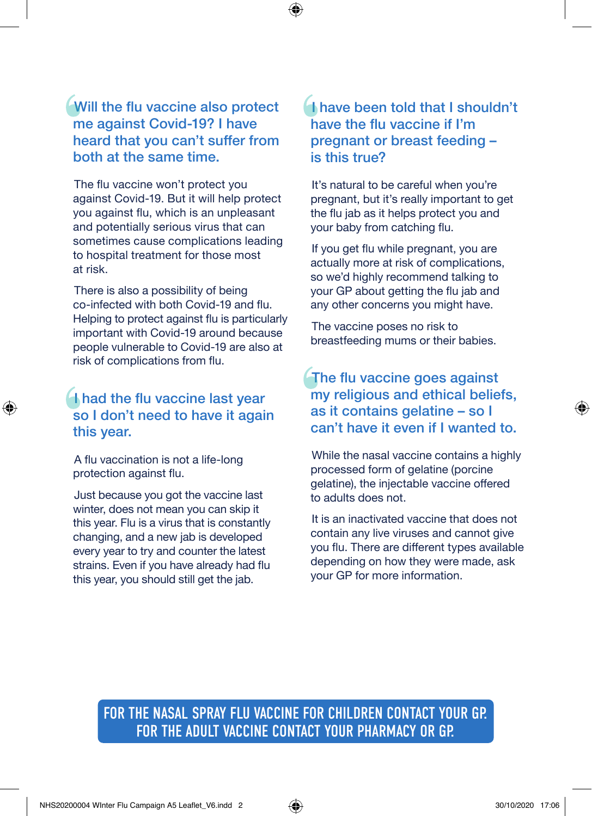Will the flu vaccine also protect me against Covid-19? I have heard that you can't suffer from both at the same time.

⊕

The flu vaccine won't protect you against Covid-19. But it will help protect you against flu, which is an unpleasant and potentially serious virus that can sometimes cause complications leading to hospital treatment for those most at risk.

There is also a possibility of being co-infected with both Covid-19 and flu. Helping to protect against flu is particularly important with Covid-19 around because people vulnerable to Covid-19 are also at risk of complications from flu.

# I had the flu vaccine last year so I don't need to have it again this year.

A flu vaccination is not a life-long protection against flu.

⊕

Just because you got the vaccine last winter, does not mean you can skip it this year. Flu is a virus that is constantly changing, and a new jab is developed every year to try and counter the latest strains. Even if you have already had flu this year, you should still get the jab.

# I have been told that I shouldn't have the flu vaccine if I'm pregnant or breast feeding – is this true?

It's natural to be careful when you're pregnant, but it's really important to get the flu jab as it helps protect you and your baby from catching flu.

If you get flu while pregnant, you are actually more at risk of complications, so we'd highly recommend talking to your GP about getting the flu jab and any other concerns you might have.

The vaccine poses no risk to breastfeeding mums or their babies.

The flu vaccine goes against my religious and ethical beliefs, as it contains gelatine – so I can't have it even if I wanted to.

While the nasal vaccine contains a highly processed form of gelatine (porcine gelatine), the injectable vaccine offered to adults does not.

It is an inactivated vaccine that does not contain any live viruses and cannot give you flu. There are different types available depending on how they were made, ask your GP for more information.

FOR THE NASAL SPRAY FLU VACCINE FOR CHILDREN CONTACT YOUR GP. FOR THE ADULT VACCINE CONTACT YOUR PHARMACY OR GP.

⊕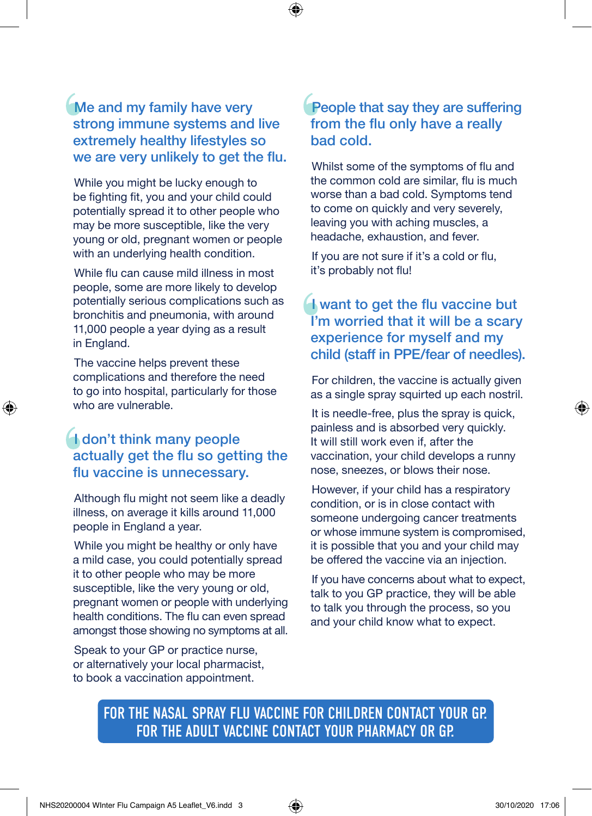Me and my family have very strong immune systems and live extremely healthy lifestyles so we are very unlikely to get the flu.

 $\mathbf \Theta$ 

While you might be lucky enough to be fighting fit, you and your child could potentially spread it to other people who may be more susceptible, like the very young or old, pregnant women or people with an underlying health condition.

While flu can cause mild illness in most people, some are more likely to develop potentially serious complications such as bronchitis and pneumonia, with around 11,000 people a year dying as a result in England.

The vaccine helps prevent these complications and therefore the need to go into hospital, particularly for those who are vulnerable.

↔

# **I don't think many people** actually get the flu so getting the flu vaccine is unnecessary.

Although flu might not seem like a deadly illness, on average it kills around 11,000 people in England a year.

While you might be healthy or only have a mild case, you could potentially spread it to other people who may be more susceptible, like the very young or old, pregnant women or people with underlying health conditions. The flu can even spread amongst those showing no symptoms at all.

Speak to your GP or practice nurse, or alternatively your local pharmacist, to book a vaccination appointment.

#### People that say they are suffering from the flu only have a really bad cold.

Whilst some of the symptoms of flu and the common cold are similar, flu is much worse than a bad cold. Symptoms tend to come on quickly and very severely, leaving you with aching muscles, a headache, exhaustion, and fever.

If you are not sure if it's a cold or flu, it's probably not flu!

# $\blacksquare$  want to get the flu vaccine but I'm worried that it will be a scary experience for myself and my child (staff in PPE/fear of needles).

For children, the vaccine is actually given as a single spray squirted up each nostril.

It is needle-free, plus the spray is quick, painless and is absorbed very quickly. It will still work even if, after the vaccination, your child develops a runny nose, sneezes, or blows their nose.

However, if your child has a respiratory condition, or is in close contact with someone undergoing cancer treatments or whose immune system is compromised, it is possible that you and your child may be offered the vaccine via an injection.

If you have concerns about what to expect, talk to you GP practice, they will be able to talk you through the process, so you and your child know what to expect.

FOR THE NASAL SPRAY FLU VACCINE FOR CHILDREN CONTACT YOUR GP. FOR THE ADULT VACCINE CONTACT YOUR PHARMACY OR GP.

⊕